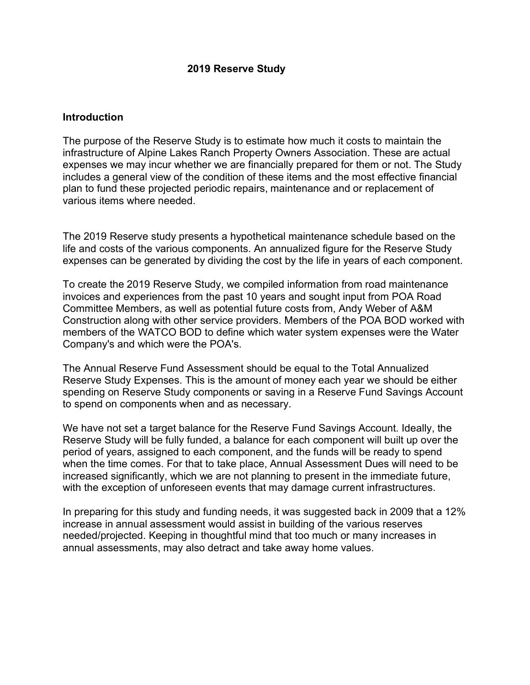### **2019 Reserve Study**

#### **Introduction**

The purpose of the Reserve Study is to estimate how much it costs to maintain the infrastructure of Alpine Lakes Ranch Property Owners Association. These are actual expenses we may incur whether we are financially prepared for them or not. The Study includes a general view of the condition of these items and the most effective financial plan to fund these projected periodic repairs, maintenance and or replacement of various items where needed.

The 2019 Reserve study presents a hypothetical maintenance schedule based on the life and costs of the various components. An annualized figure for the Reserve Study expenses can be generated by dividing the cost by the life in years of each component.

To create the 2019 Reserve Study, we compiled information from road maintenance invoices and experiences from the past 10 years and sought input from POA Road Committee Members, as well as potential future costs from, Andy Weber of A&M Construction along with other service providers. Members of the POA BOD worked with members of the WATCO BOD to define which water system expenses were the Water Company's and which were the POA's.

The Annual Reserve Fund Assessment should be equal to the Total Annualized Reserve Study Expenses. This is the amount of money each year we should be either spending on Reserve Study components or saving in a Reserve Fund Savings Account to spend on components when and as necessary.

We have not set a target balance for the Reserve Fund Savings Account. Ideally, the Reserve Study will be fully funded, a balance for each component will built up over the period of years, assigned to each component, and the funds will be ready to spend when the time comes. For that to take place, Annual Assessment Dues will need to be increased significantly, which we are not planning to present in the immediate future, with the exception of unforeseen events that may damage current infrastructures.

In preparing for this study and funding needs, it was suggested back in 2009 that a 12% increase in annual assessment would assist in building of the various reserves needed/projected. Keeping in thoughtful mind that too much or many increases in annual assessments, may also detract and take away home values.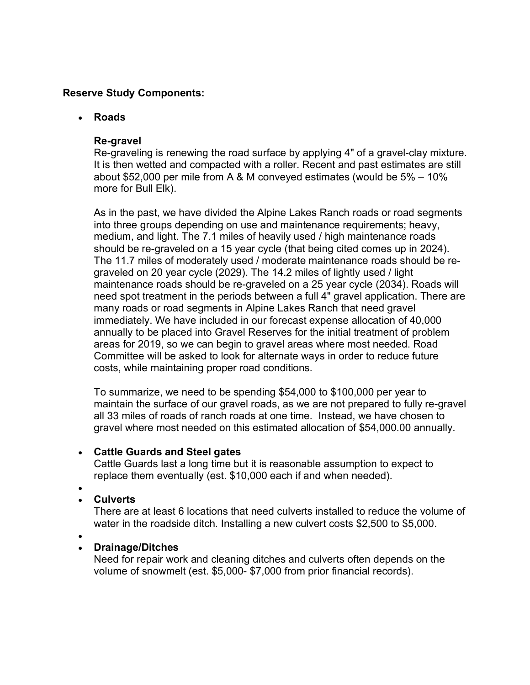## **Reserve Study Components:**

## • **Roads**

## **Re-gravel**

Re-graveling is renewing the road surface by applying 4" of a gravel-clay mixture. It is then wetted and compacted with a roller. Recent and past estimates are still about \$52,000 per mile from A & M conveyed estimates (would be 5% – 10% more for Bull Elk).

As in the past, we have divided the Alpine Lakes Ranch roads or road segments into three groups depending on use and maintenance requirements; heavy, medium, and light. The 7.1 miles of heavily used / high maintenance roads should be re-graveled on a 15 year cycle (that being cited comes up in 2024). The 11.7 miles of moderately used / moderate maintenance roads should be regraveled on 20 year cycle (2029). The 14.2 miles of lightly used / light maintenance roads should be re-graveled on a 25 year cycle (2034). Roads will need spot treatment in the periods between a full 4" gravel application. There are many roads or road segments in Alpine Lakes Ranch that need gravel immediately. We have included in our forecast expense allocation of 40,000 annually to be placed into Gravel Reserves for the initial treatment of problem areas for 2019, so we can begin to gravel areas where most needed. Road Committee will be asked to look for alternate ways in order to reduce future costs, while maintaining proper road conditions.

To summarize, we need to be spending \$54,000 to \$100,000 per year to maintain the surface of our gravel roads, as we are not prepared to fully re-gravel all 33 miles of roads of ranch roads at one time. Instead, we have chosen to gravel where most needed on this estimated allocation of \$54,000.00 annually.

### • **Cattle Guards and Steel gates**

Cattle Guards last a long time but it is reasonable assumption to expect to replace them eventually (est. \$10,000 each if and when needed).

#### •

# • **Culverts**

There are at least 6 locations that need culverts installed to reduce the volume of water in the roadside ditch. Installing a new culvert costs \$2,500 to \$5,000.

•

# • **Drainage/Ditches**

Need for repair work and cleaning ditches and culverts often depends on the volume of snowmelt (est. \$5,000- \$7,000 from prior financial records).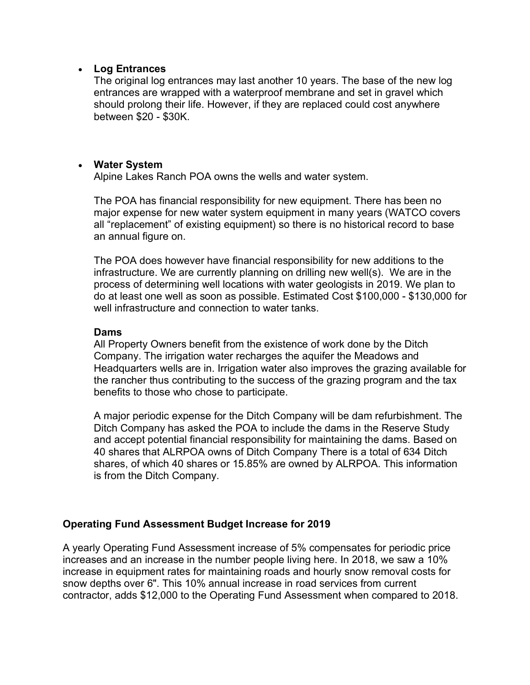### • **Log Entrances**

The original log entrances may last another 10 years. The base of the new log entrances are wrapped with a waterproof membrane and set in gravel which should prolong their life. However, if they are replaced could cost anywhere between \$20 - \$30K.

### • **Water System**

Alpine Lakes Ranch POA owns the wells and water system.

The POA has financial responsibility for new equipment. There has been no major expense for new water system equipment in many years (WATCO covers all "replacement" of existing equipment) so there is no historical record to base an annual figure on.

The POA does however have financial responsibility for new additions to the infrastructure. We are currently planning on drilling new well(s). We are in the process of determining well locations with water geologists in 2019. We plan to do at least one well as soon as possible. Estimated Cost \$100,000 - \$130,000 for well infrastructure and connection to water tanks.

#### **Dams**

All Property Owners benefit from the existence of work done by the Ditch Company. The irrigation water recharges the aquifer the Meadows and Headquarters wells are in. Irrigation water also improves the grazing available for the rancher thus contributing to the success of the grazing program and the tax benefits to those who chose to participate.

A major periodic expense for the Ditch Company will be dam refurbishment. The Ditch Company has asked the POA to include the dams in the Reserve Study and accept potential financial responsibility for maintaining the dams. Based on 40 shares that ALRPOA owns of Ditch Company There is a total of 634 Ditch shares, of which 40 shares or 15.85% are owned by ALRPOA. This information is from the Ditch Company.

### **Operating Fund Assessment Budget Increase for 2019**

A yearly Operating Fund Assessment increase of 5% compensates for periodic price increases and an increase in the number people living here. In 2018, we saw a 10% increase in equipment rates for maintaining roads and hourly snow removal costs for snow depths over 6". This 10% annual increase in road services from current contractor, adds \$12,000 to the Operating Fund Assessment when compared to 2018.